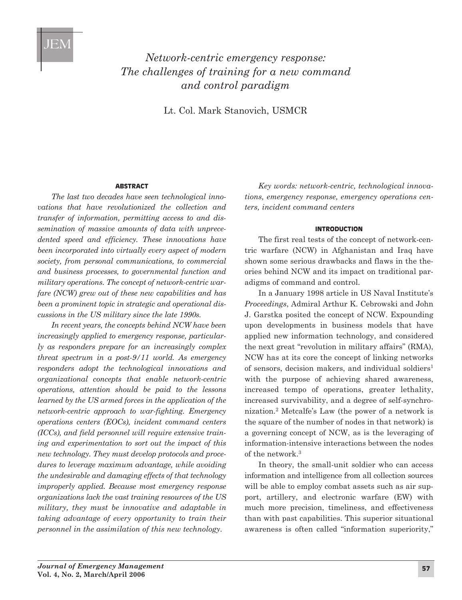# *Network-centric emergency response: The challenges of training for a new command and control paradigm*

Lt. Col. Mark Stanovich, USMCR

#### **AbstrAct**

*The last two decades have seen technological innovations that have revolutionized the collection and transfer of information, permitting access to and dissemination of massive amounts of data with unprecedented speed and efficiency. These innovations have been incorporated into virtually every aspect of modern society, from personal communications, to commercial and business processes, to governmental function and military operations. The concept of network-centric warfare (NCW) grew out of these new capabilities and has been a prominent topic in strategic and operational discussions in the US military since the late 1990s.* 

*In recent years, the concepts behind NCW have been increasingly applied to emergency response, particularly as responders prepare for an increasingly complex threat spectrum in a post-9/11 world. As emergency responders adopt the technological innovations and organizational concepts that enable network-centric operations, attention should be paid to the lessons learned by the US armed forces in the application of the network-centric approach to war-fighting. Emergency operations centers (EOCs), incident command centers (ICCs), and field personnel will require extensive training and experimentation to sort out the impact of this new technology. They must develop protocols and procedures to leverage maximum advantage, while avoiding the undesirable and damaging effects of that technology improperly applied. Because most emergency response organizations lack the vast training resources of the US military, they must be innovative and adaptable in taking advantage of every opportunity to train their personnel in the assimilation of this new technology.*

*Key words: network-centric, technological innovations, emergency response, emergency operations centers, incident command centers* 

### **IntroductIon**

The first real tests of the concept of network-centric warfare (NCW) in Afghanistan and Iraq have shown some serious drawbacks and flaws in the theories behind NCW and its impact on traditional paradigms of command and control.

In a January 1998 article in US Naval Institute's *Proceedings*, Admiral Arthur K. Cebrowski and John J. Garstka posited the concept of NCW. Expounding upon developments in business models that have applied new information technology, and considered the next great "revolution in military affairs" (RMA), NCW has at its core the concept of linking networks of sensors, decision makers, and individual soldiers<sup>1</sup> with the purpose of achieving shared awareness, increased tempo of operations, greater lethality, increased survivability, and a degree of self-synchronization.2 Metcalfe's Law (the power of a network is the square of the number of nodes in that network) is a governing concept of NCW, as is the leveraging of information-intensive interactions between the nodes of the network.3

In theory, the small-unit soldier who can access information and intelligence from all collection sources will be able to employ combat assets such as air support, artillery, and electronic warfare (EW) with much more precision, timeliness, and effectiveness than with past capabilities. This superior situational awareness is often called "information superiority,"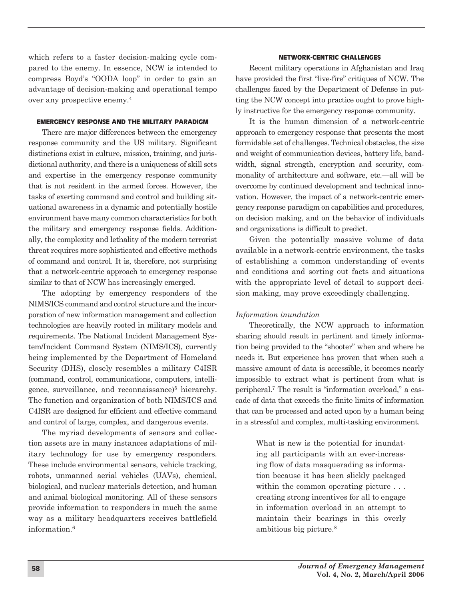which refers to a faster decision-making cycle compared to the enemy. In essence, NCW is intended to compress Boyd's "OODA loop" in order to gain an advantage of decision-making and operational tempo over any prospective enemy.4

#### **EmErgEncy rEsponsE And thE mIlItAry pArAdIgm**

There are major differences between the emergency response community and the US military. Significant distinctions exist in culture, mission, training, and jurisdictional authority, and there is a uniqueness of skill sets and expertise in the emergency response community that is not resident in the armed forces. However, the tasks of exerting command and control and building situational awareness in a dynamic and potentially hostile environment have many common characteristics for both the military and emergency response fields. Additionally, the complexity and lethality of the modern terrorist threat requires more sophisticated and effective methods of command and control. It is, therefore, not surprising that a network-centric approach to emergency response similar to that of NCW has increasingly emerged.

The adopting by emergency responders of the NIMS/ICS command and control structure and the incorporation of new information management and collection technologies are heavily rooted in military models and requirements. The National Incident Management System/Incident Command System (NIMS/ICS), currently being implemented by the Department of Homeland Security (DHS), closely resembles a military C4ISR (command, control, communications, computers, intelligence, surveillance, and reconnaissance)<sup>5</sup> hierarchy. The function and organization of both NIMS/ICS and C4ISR are designed for efficient and effective command and control of large, complex, and dangerous events.

The myriad developments of sensors and collection assets are in many instances adaptations of military technology for use by emergency responders. These include environmental sensors, vehicle tracking, robots, unmanned aerial vehicles (UAVs), chemical, biological, and nuclear materials detection, and human and animal biological monitoring. All of these sensors provide information to responders in much the same way as a military headquarters receives battlefield information.<sup>6</sup>

#### **nEtwork-cEntrIc chAllEngEs**

Recent military operations in Afghanistan and Iraq have provided the first "live-fire" critiques of NCW. The challenges faced by the Department of Defense in putting the NCW concept into practice ought to prove highly instructive for the emergency response community.

It is the human dimension of a network-centric approach to emergency response that presents the most formidable set of challenges. Technical obstacles, the size and weight of communication devices, battery life, bandwidth, signal strength, encryption and security, commonality of architecture and software, etc.—all will be overcome by continued development and technical innovation. However, the impact of a network-centric emergency response paradigm on capabilities and procedures, on decision making, and on the behavior of individuals and organizations is difficult to predict.

Given the potentially massive volume of data available in a network-centric environment, the tasks of establishing a common understanding of events and conditions and sorting out facts and situations with the appropriate level of detail to support decision making, may prove exceedingly challenging.

#### *Information inundation*

Theoretically, the NCW approach to information sharing should result in pertinent and timely information being provided to the "shooter" when and where he needs it. But experience has proven that when such a massive amount of data is accessible, it becomes nearly impossible to extract what is pertinent from what is peripheral.7 The result is "information overload," a cascade of data that exceeds the finite limits of information that can be processed and acted upon by a human being in a stressful and complex, multi-tasking environment.

What is new is the potential for inundating all participants with an ever-increasing flow of data masquerading as information because it has been slickly packaged within the common operating picture . . . creating strong incentives for all to engage in information overload in an attempt to maintain their bearings in this overly ambitious big picture.8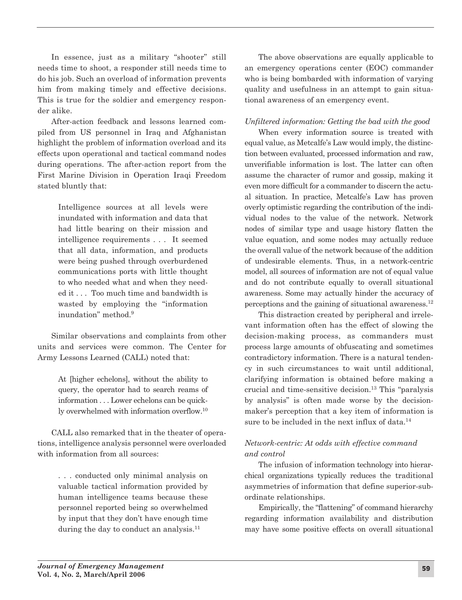In essence, just as a military "shooter" still needs time to shoot, a responder still needs time to do his job. Such an overload of information prevents him from making timely and effective decisions. This is true for the soldier and emergency responder alike.

After-action feedback and lessons learned compiled from US personnel in Iraq and Afghanistan highlight the problem of information overload and its effects upon operational and tactical command nodes during operations. The after-action report from the First Marine Division in Operation Iraqi Freedom stated bluntly that:

> Intelligence sources at all levels were inundated with information and data that had little bearing on their mission and intelligence requirements . . . It seemed that all data, information, and products were being pushed through overburdened communications ports with little thought to who needed what and when they needed it . . . Too much time and bandwidth is wasted by employing the "information inundation" method.9

Similar observations and complaints from other units and services were common. The Center for Army Lessons Learned (CALL) noted that:

> At [higher echelons], without the ability to query, the operator had to search reams of information . . . Lower echelons can be quickly overwhelmed with information overflow.10

CALL also remarked that in the theater of operations, intelligence analysis personnel were overloaded with information from all sources:

> . . . conducted only minimal analysis on valuable tactical information provided by human intelligence teams because these personnel reported being so overwhelmed by input that they don't have enough time during the day to conduct an analysis.<sup>11</sup>

The above observations are equally applicable to an emergency operations center (EOC) commander who is being bombarded with information of varying quality and usefulness in an attempt to gain situational awareness of an emergency event.

# *Unfiltered information: Getting the bad with the good*

When every information source is treated with equal value, as Metcalfe's Law would imply, the distinction between evaluated, processed information and raw, unverifiable information is lost. The latter can often assume the character of rumor and gossip, making it even more difficult for a commander to discern the actual situation. In practice, Metcalfe's Law has proven overly optimistic regarding the contribution of the individual nodes to the value of the network. Network nodes of similar type and usage history flatten the value equation, and some nodes may actually reduce the overall value of the network because of the addition of undesirable elements. Thus, in a network-centric model, all sources of information are not of equal value and do not contribute equally to overall situational awareness. Some may actually hinder the accuracy of perceptions and the gaining of situational awareness.12

This distraction created by peripheral and irrelevant information often has the effect of slowing the decision-making process, as commanders must process large amounts of obfuscating and sometimes contradictory information. There is a natural tendency in such circumstances to wait until additional, clarifying information is obtained before making a crucial and time-sensitive decision.13 This "paralysis by analysis" is often made worse by the decisionmaker's perception that a key item of information is sure to be included in the next influx of data.<sup>14</sup>

# *Network-centric: At odds with effective command and control*

The infusion of information technology into hierarchical organizations typically reduces the traditional asymmetries of information that define superior-subordinate relationships.

Empirically, the "flattening" of command hierarchy regarding information availability and distribution may have some positive effects on overall situational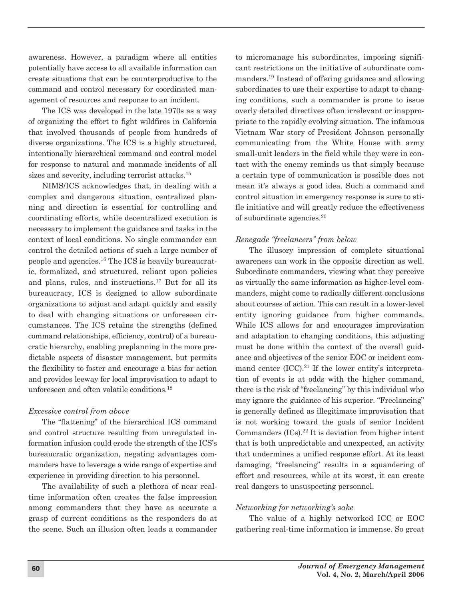awareness. However, a paradigm where all entities potentially have access to all available information can create situations that can be counterproductive to the command and control necessary for coordinated management of resources and response to an incident.

The ICS was developed in the late 1970s as a way of organizing the effort to fight wildfires in California that involved thousands of people from hundreds of diverse organizations. The ICS is a highly structured, intentionally hierarchical command and control model for response to natural and manmade incidents of all sizes and severity, including terrorist attacks.<sup>15</sup>

NIMS/ICS acknowledges that, in dealing with a complex and dangerous situation, centralized planning and direction is essential for controlling and coordinating efforts, while decentralized execution is necessary to implement the guidance and tasks in the context of local conditions. No single commander can control the detailed actions of such a large number of people and agencies.16 The ICS is heavily bureaucratic, formalized, and structured, reliant upon policies and plans, rules, and instructions.17 But for all its bureaucracy, ICS is designed to allow subordinate organizations to adjust and adapt quickly and easily to deal with changing situations or unforeseen circumstances. The ICS retains the strengths (defined command relationships, efficiency, control) of a bureaucratic hierarchy, enabling preplanning in the more predictable aspects of disaster management, but permits the flexibility to foster and encourage a bias for action and provides leeway for local improvisation to adapt to unforeseen and often volatile conditions.18

### *Excessive control from above*

The "flattening" of the hierarchical ICS command and control structure resulting from unregulated information infusion could erode the strength of the ICS's bureaucratic organization, negating advantages commanders have to leverage a wide range of expertise and experience in providing direction to his personnel.

The availability of such a plethora of near realtime information often creates the false impression among commanders that they have as accurate a grasp of current conditions as the responders do at the scene. Such an illusion often leads a commander

to micromanage his subordinates, imposing significant restrictions on the initiative of subordinate commanders.19 Instead of offering guidance and allowing subordinates to use their expertise to adapt to changing conditions, such a commander is prone to issue overly detailed directives often irrelevant or inappropriate to the rapidly evolving situation. The infamous Vietnam War story of President Johnson personally communicating from the White House with army small-unit leaders in the field while they were in contact with the enemy reminds us that simply because a certain type of communication is possible does not mean it's always a good idea. Such a command and control situation in emergency response is sure to stifle initiative and will greatly reduce the effectiveness of subordinate agencies.20

# *Renegade "freelancers" from below*

The illusory impression of complete situational awareness can work in the opposite direction as well. Subordinate commanders, viewing what they perceive as virtually the same information as higher-level commanders, might come to radically different conclusions about courses of action. This can result in a lower-level entity ignoring guidance from higher commands. While ICS allows for and encourages improvisation and adaptation to changing conditions, this adjusting must be done within the context of the overall guidance and objectives of the senior EOC or incident command center  $(ICC).^{21}$  If the lower entity's interpretation of events is at odds with the higher command, there is the risk of "freelancing" by this individual who may ignore the guidance of his superior. "Freelancing" is generally defined as illegitimate improvisation that is not working toward the goals of senior Incident Commanders (ICs).22 It is deviation from higher intent that is both unpredictable and unexpected, an activity that undermines a unified response effort. At its least damaging, "freelancing" results in a squandering of effort and resources, while at its worst, it can create real dangers to unsuspecting personnel.

# *Networking for networking's sake*

The value of a highly networked ICC or EOC gathering real-time information is immense. So great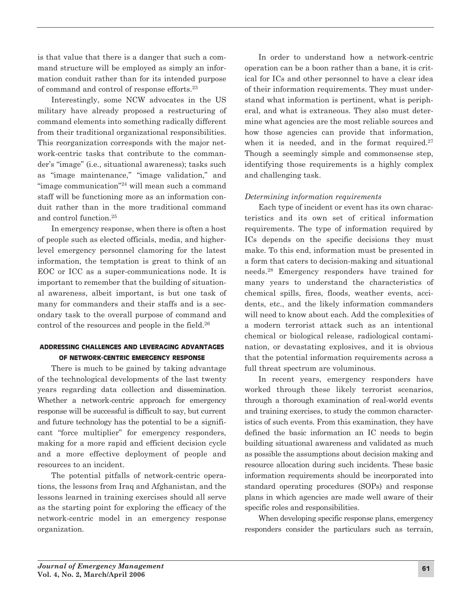is that value that there is a danger that such a command structure will be employed as simply an information conduit rather than for its intended purpose of command and control of response efforts.23

Interestingly, some NCW advocates in the US military have already proposed a restructuring of command elements into something radically different from their traditional organizational responsibilities. This reorganization corresponds with the major network-centric tasks that contribute to the commander's "image" (i.e., situational awareness); tasks such as "image maintenance," "image validation," and "image communication"24 will mean such a command staff will be functioning more as an information conduit rather than in the more traditional command and control function.25

In emergency response, when there is often a host of people such as elected officials, media, and higherlevel emergency personnel clamoring for the latest information, the temptation is great to think of an EOC or ICC as a super-communications node. It is important to remember that the building of situational awareness, albeit important, is but one task of many for commanders and their staffs and is a secondary task to the overall purpose of command and control of the resources and people in the field.26

# **AddrEssIng chAllEngEs And lEvErAgIng AdvAntAgEs of nEtwork-cEntrIc EmErgEncy rEsponsE**

There is much to be gained by taking advantage of the technological developments of the last twenty years regarding data collection and dissemination. Whether a network-centric approach for emergency response will be successful is difficult to say, but current and future technology has the potential to be a significant "force multiplier" for emergency responders, making for a more rapid and efficient decision cycle and a more effective deployment of people and resources to an incident.

The potential pitfalls of network-centric operations, the lessons from Iraq and Afghanistan, and the lessons learned in training exercises should all serve as the starting point for exploring the efficacy of the network-centric model in an emergency response organization.

In order to understand how a network-centric operation can be a boon rather than a bane, it is critical for ICs and other personnel to have a clear idea of their information requirements. They must understand what information is pertinent, what is peripheral, and what is extraneous. They also must determine what agencies are the most reliable sources and how those agencies can provide that information, when it is needed, and in the format required. $27$ Though a seemingly simple and commonsense step, identifying those requirements is a highly complex and challenging task.

# *Determining information requirements*

Each type of incident or event has its own characteristics and its own set of critical information requirements. The type of information required by ICs depends on the specific decisions they must make. To this end, information must be presented in a form that caters to decision-making and situational needs.28 Emergency responders have trained for many years to understand the characteristics of chemical spills, fires, floods, weather events, accidents, etc., and the likely information commanders will need to know about each. Add the complexities of a modern terrorist attack such as an intentional chemical or biological release, radiological contamination, or devastating explosives, and it is obvious that the potential information requirements across a full threat spectrum are voluminous.

In recent years, emergency responders have worked through these likely terrorist scenarios, through a thorough examination of real-world events and training exercises, to study the common characteristics of such events. From this examination, they have defined the basic information an IC needs to begin building situational awareness and validated as much as possible the assumptions about decision making and resource allocation during such incidents. These basic information requirements should be incorporated into standard operating procedures (SOPs) and response plans in which agencies are made well aware of their specific roles and responsibilities.

When developing specific response plans, emergency responders consider the particulars such as terrain,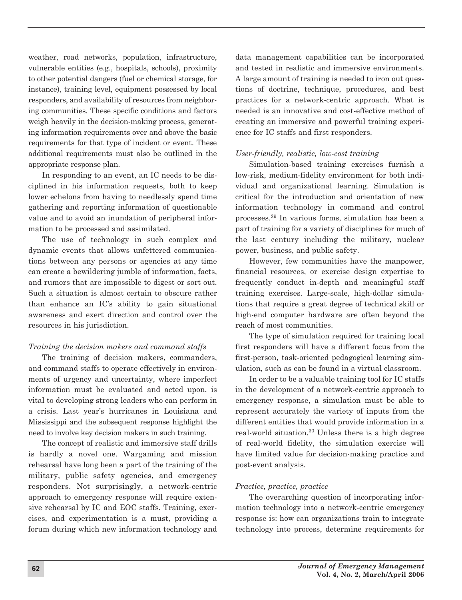weather, road networks, population, infrastructure, vulnerable entities (e.g., hospitals, schools), proximity to other potential dangers (fuel or chemical storage, for instance), training level, equipment possessed by local responders, and availability of resources from neighboring communities. These specific conditions and factors weigh heavily in the decision-making process, generating information requirements over and above the basic requirements for that type of incident or event. These additional requirements must also be outlined in the appropriate response plan.

In responding to an event, an IC needs to be disciplined in his information requests, both to keep lower echelons from having to needlessly spend time gathering and reporting information of questionable value and to avoid an inundation of peripheral information to be processed and assimilated.

The use of technology in such complex and dynamic events that allows unfettered communications between any persons or agencies at any time can create a bewildering jumble of information, facts, and rumors that are impossible to digest or sort out. Such a situation is almost certain to obscure rather than enhance an IC's ability to gain situational awareness and exert direction and control over the resources in his jurisdiction.

### *Training the decision makers and command staffs*

The training of decision makers, commanders, and command staffs to operate effectively in environments of urgency and uncertainty, where imperfect information must be evaluated and acted upon, is vital to developing strong leaders who can perform in a crisis. Last year's hurricanes in Louisiana and Mississippi and the subsequent response highlight the need to involve key decision makers in such training.

The concept of realistic and immersive staff drills is hardly a novel one. Wargaming and mission rehearsal have long been a part of the training of the military, public safety agencies, and emergency responders. Not surprisingly, a network-centric approach to emergency response will require extensive rehearsal by IC and EOC staffs. Training, exercises, and experimentation is a must, providing a forum during which new information technology and

data management capabilities can be incorporated and tested in realistic and immersive environments. A large amount of training is needed to iron out questions of doctrine, technique, procedures, and best practices for a network-centric approach. What is needed is an innovative and cost-effective method of creating an immersive and powerful training experience for IC staffs and first responders.

### *User-friendly, realistic, low-cost training*

Simulation-based training exercises furnish a low-risk, medium-fidelity environment for both individual and organizational learning. Simulation is critical for the introduction and orientation of new information technology in command and control processes.29 In various forms, simulation has been a part of training for a variety of disciplines for much of the last century including the military, nuclear power, business, and public safety.

However, few communities have the manpower, financial resources, or exercise design expertise to frequently conduct in-depth and meaningful staff training exercises. Large-scale, high-dollar simulations that require a great degree of technical skill or high-end computer hardware are often beyond the reach of most communities.

The type of simulation required for training local first responders will have a different focus from the first-person, task-oriented pedagogical learning simulation, such as can be found in a virtual classroom.

In order to be a valuable training tool for IC staffs in the development of a network-centric approach to emergency response, a simulation must be able to represent accurately the variety of inputs from the different entities that would provide information in a real-world situation.30 Unless there is a high degree of real-world fidelity, the simulation exercise will have limited value for decision-making practice and post-event analysis.

### *Practice, practice, practice*

The overarching question of incorporating information technology into a network-centric emergency response is: how can organizations train to integrate technology into process, determine requirements for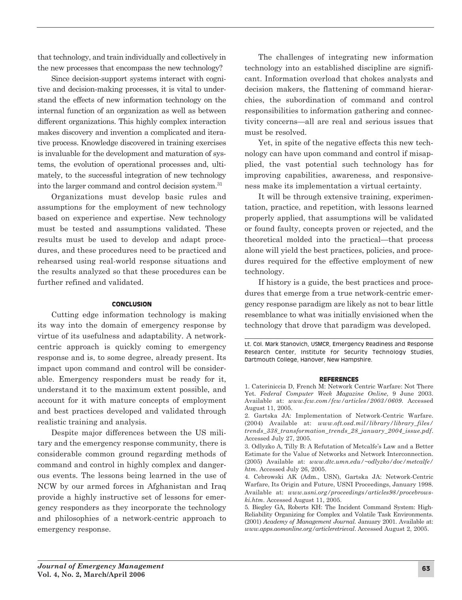that technology, and train individually and collectively in the new processes that encompass the new technology?

Since decision-support systems interact with cognitive and decision-making processes, it is vital to understand the effects of new information technology on the internal function of an organization as well as between different organizations. This highly complex interaction makes discovery and invention a complicated and iterative process. Knowledge discovered in training exercises is invaluable for the development and maturation of systems, the evolution of operational processes and, ultimately, to the successful integration of new technology into the larger command and control decision system.31

Organizations must develop basic rules and assumptions for the employment of new technology based on experience and expertise. New technology must be tested and assumptions validated. These results must be used to develop and adapt procedures, and these procedures need to be practiced and rehearsed using real-world response situations and the results analyzed so that these procedures can be further refined and validated.

#### **conclusIon**

Cutting edge information technology is making its way into the domain of emergency response by virtue of its usefulness and adaptability. A networkcentric approach is quickly coming to emergency response and is, to some degree, already present. Its impact upon command and control will be considerable. Emergency responders must be ready for it, understand it to the maximum extent possible, and account for it with mature concepts of employment and best practices developed and validated through realistic training and analysis.

Despite major differences between the US military and the emergency response community, there is considerable common ground regarding methods of command and control in highly complex and dangerous events. The lessons being learned in the use of NCW by our armed forces in Afghanistan and Iraq provide a highly instructive set of lessons for emergency responders as they incorporate the technology and philosophies of a network-centric approach to emergency response.

The challenges of integrating new information technology into an established discipline are significant. Information overload that chokes analysts and decision makers, the flattening of command hierarchies, the subordination of command and control responsibilities to information gathering and connectivity concerns—all are real and serious issues that must be resolved.

Yet, in spite of the negative effects this new technology can have upon command and control if misapplied, the vast potential such technology has for improving capabilities, awareness, and responsiveness make its implementation a virtual certainty.

It will be through extensive training, experimentation, practice, and repetition, with lessons learned properly applied, that assumptions will be validated or found faulty, concepts proven or rejected, and the theoretical molded into the practical—that process alone will yield the best practices, policies, and procedures required for the effective employment of new technology.

If history is a guide, the best practices and procedures that emerge from a true network-centric emergency response paradigm are likely as not to bear little resemblance to what was initially envisioned when the technology that drove that paradigm was developed.

#### **rEfErEncEs**

Lt. Col. Mark Stanovich, USMCR, Emergency Readiness and Response Research Center, Institute for Security Technology Studies, Dartmouth College, Hanover, New Hampshire.

<sup>1.</sup> Cateriniccia D, French M: Network Centric Warfare: Not There Yet. *Federal Computer Week Magazine Online*, 9 June 2003. Available at: *www.fcw.com/fcw/articles/2003/0609*. Accessed August 11, 2005.

<sup>2.</sup> Gartska JA: Implementation of Network-Centric Warfare. (2004) Available at: *www.oft.osd.mil/library/library\_files/ trends\_338\_transformation\_trends\_28\_january\_2004\_issue.pdf*. Accessed July 27, 2005.

<sup>3.</sup> Odlyzko A, Tilly B: A Refutation of Metcalfe's Law and a Better Estimate for the Value of Networks and Network Interconnection. (2005) Available at: *www.dtc.umn.edu/~odlyzko/doc/metcalfe/ htm*. Accessed July 26, 2005.

<sup>4.</sup> Cebrowski AK (Adm., USN), Gartska JA: Network-Centric Warfare, Its Origin and Future, USNI Proceedings, January 1998. Available at: *www.usni.org/proceedings/articles98/procebrowski.htm*. Accessed August 11, 2005.

<sup>5.</sup> Biegley GA, Roberts KH: The Incident Command System: High-Reliability Organizing for Complex and Volatile Task Environments. (2001) *Academy of Management Journal.* January 2001. Available at: *www.apps.aomonline.org/articleretrieval.* Accessed August 2, 2005.